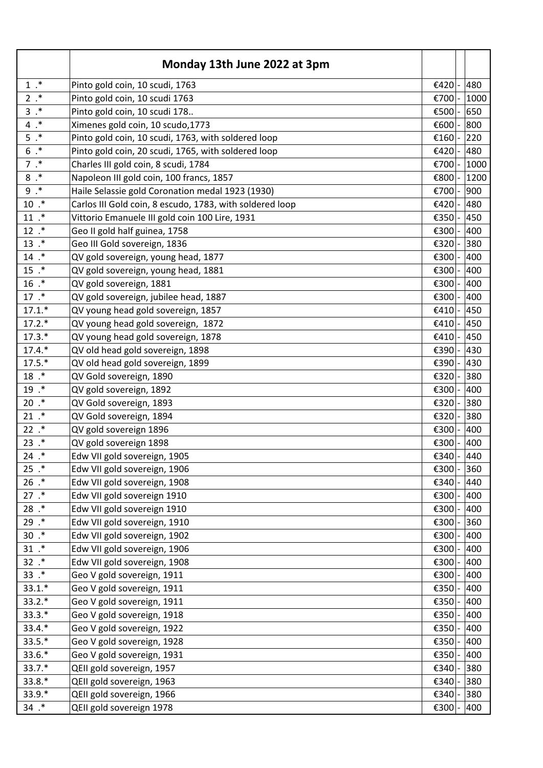|               | Monday 13th June 2022 at 3pm                             |                  |      |
|---------------|----------------------------------------------------------|------------------|------|
| $1.*$         | Pinto gold coin, 10 scudi, 1763                          | €420             | 480  |
| $2.*$         | Pinto gold coin, 10 scudi 1763                           | €700             | 1000 |
| $3.*$         | Pinto gold coin, 10 scudi 178                            | €500             | 650  |
| $4.*$         | Ximenes gold coin, 10 scudo, 1773                        | €600             | 800  |
| $5.*$         | Pinto gold coin, 10 scudi, 1763, with soldered loop      | €160             | 220  |
| $6.*$         | Pinto gold coin, 20 scudi, 1765, with soldered loop      | €420             | 480  |
| $7.*$         | Charles III gold coin, 8 scudi, 1784                     | €700             | 1000 |
| $8.*$         | Napoleon III gold coin, 100 francs, 1857                 | €800             | 1200 |
| $9$ . $^\ast$ | Haile Selassie gold Coronation medal 1923 (1930)         | €700             | 900  |
| $10.*$        | Carlos III Gold coin, 8 escudo, 1783, with soldered loop | €420             | 480  |
| $11.$ *       | Vittorio Emanuele III gold coin 100 Lire, 1931           | €350             | 450  |
| $12$ $.*$     | Geo II gold half guinea, 1758                            | €300             | 400  |
| $13$ $.*$     | Geo III Gold sovereign, 1836                             | €320             | 380  |
| $14$ $.$      | QV gold sovereign, young head, 1877                      | €300             | 400  |
| $15$ $.*$     | QV gold sovereign, young head, 1881                      | €300             | 400  |
| $16$ .*       | QV gold sovereign, 1881                                  | €300             | 400  |
| 17.           | QV gold sovereign, jubilee head, 1887                    | €300             | 400  |
| $17.1.*$      | QV young head gold sovereign, 1857                       | €410             | 450  |
| $17.2.*$      | QV young head gold sovereign, 1872                       | €410             | 450  |
| $17.3.*$      | QV young head gold sovereign, 1878                       | €410             | 450  |
| $17.4.*$      | QV old head gold sovereign, 1898                         | €390             | 430  |
| $17.5.*$      | QV old head gold sovereign, 1899                         | €390             | 430  |
| $18.$ *       | QV Gold sovereign, 1890                                  | €320             | 380  |
| $19.$ *       | QV gold sovereign, 1892                                  | €300             | 400  |
| $20.*$        | QV Gold sovereign, 1893                                  | €320             | 380  |
| $21$ $.*$     | QV Gold sovereign, 1894                                  | €320             | 380  |
| $22$ $.*$     | QV gold sovereign 1896                                   | €300             | 400  |
| $23$ .*       | QV gold sovereign 1898                                   | €300             | 400  |
| $24$ $.*$     | Edw VII gold sovereign, 1905                             | $\epsilon$ 340 - | 440  |
| $25$ $.*$     | Edw VII gold sovereign, 1906                             | €300             | 360  |
| $26$ $.*$     | Edw VII gold sovereign, 1908                             | €340             | 440  |
| 27.           | Edw VII gold sovereign 1910                              | €300             | 400  |
| 28.           | Edw VII gold sovereign 1910                              | €300             | 400  |
| 29.           | Edw VII gold sovereign, 1910                             | €300             | 360  |
| $30.*$        | Edw VII gold sovereign, 1902                             | €300             | 400  |
| $31.*$        | Edw VII gold sovereign, 1906                             | €300             | 400  |
| $32$ $.*$     | Edw VII gold sovereign, 1908                             | €300             | 400  |
| $33.$ *       | Geo V gold sovereign, 1911                               | €300             | 400  |
| $33.1.*$      | Geo V gold sovereign, 1911                               | €350             | 400  |
| $33.2.*$      | Geo V gold sovereign, 1911                               | €350             | 400  |
| $33.3.*$      | Geo V gold sovereign, 1918                               | €350             | 400  |
| $33.4.*$      | Geo V gold sovereign, 1922                               | €350             | 400  |
| $33.5.*$      | Geo V gold sovereign, 1928                               | €350             | 400  |
| 33.6.*        | Geo V gold sovereign, 1931                               | €350             | 400  |
| 33.7.*        | QEII gold sovereign, 1957                                | €340             | 380  |
| $33.8.*$      | QEII gold sovereign, 1963                                | €340             | 380  |
| 33.9.*        | QEII gold sovereign, 1966                                | €340             | 380  |
| $34$ .*       | QEII gold sovereign 1978                                 | €300             | 400  |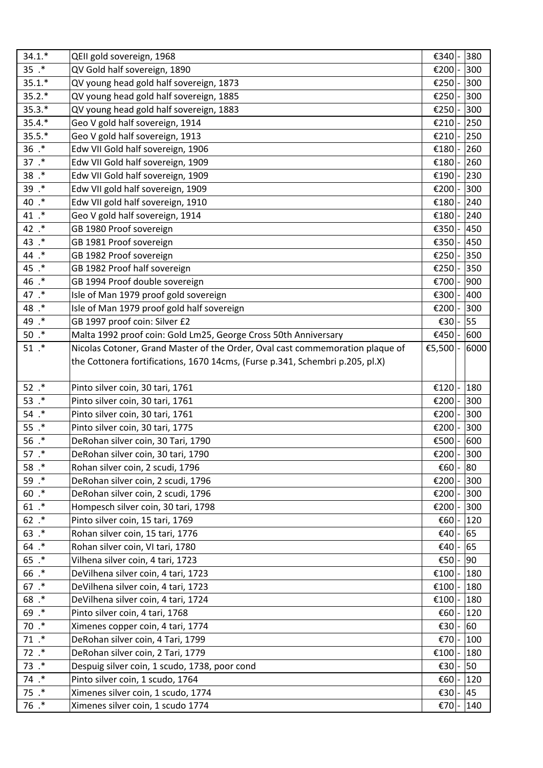| $34.1.*$  | QEII gold sovereign, 1968                                                     | €340           | 380  |
|-----------|-------------------------------------------------------------------------------|----------------|------|
| $35$ $.*$ | QV Gold half sovereign, 1890                                                  | €200           | 300  |
| $35.1.*$  | QV young head gold half sovereign, 1873                                       | €250           | 300  |
| $35.2.*$  | QV young head gold half sovereign, 1885                                       | €250           | 300  |
| $35.3.*$  | QV young head gold half sovereign, 1883                                       | €250           | 300  |
| $35.4.*$  | Geo V gold half sovereign, 1914                                               | €210           | 250  |
| $35.5.*$  | Geo V gold half sovereign, 1913                                               | €210           | 250  |
| $36$ .*   | Edw VII Gold half sovereign, 1906                                             | €180           | 260  |
| 37.       | Edw VII Gold half sovereign, 1909                                             | €180           | 260  |
| $38.$ *   | Edw VII Gold half sovereign, 1909                                             | €190           | 230  |
| 39 .*     | Edw VII gold half sovereign, 1909                                             | €200           | 300  |
| 40 .*     | Edw VII gold half sovereign, 1910                                             | €180           | 240  |
| 41 .*     | Geo V gold half sovereign, 1914                                               | €180           | 240  |
| 42 .*     | GB 1980 Proof sovereign                                                       | €350           | 450  |
| 43 .*     | GB 1981 Proof sovereign                                                       | €350           | 450  |
| 44 .*     | GB 1982 Proof sovereign                                                       | €250           | 350  |
| 45 .*     | GB 1982 Proof half sovereign                                                  | €250           | 350  |
| 46 .*     | GB 1994 Proof double sovereign                                                | €700           | 900  |
| 47 .*     | Isle of Man 1979 proof gold sovereign                                         | €300           | 400  |
| 48 .*     | Isle of Man 1979 proof gold half sovereign                                    | €200           | 300  |
| 49 .*     | GB 1997 proof coin: Silver £2                                                 | €30            | 55   |
| $50.*$    | Malta 1992 proof coin: Gold Lm25, George Cross 50th Anniversary               | €450           | 600  |
| $51$ .*   | Nicolas Cotoner, Grand Master of the Order, Oval cast commemoration plaque of | €5,500         | 6000 |
|           | the Cottonera fortifications, 1670 14cms, (Furse p.341, Schembri p.205, pl.X) |                |      |
|           |                                                                               |                |      |
| $52$ $.*$ | Pinto silver coin, 30 tari, 1761                                              | €120           | 180  |
| 53 $.*$   | Pinto silver coin, 30 tari, 1761                                              | €200           | 300  |
| $54$ $.*$ | Pinto silver coin, 30 tari, 1761                                              | €200           | 300  |
| $55.$ *   | Pinto silver coin, 30 tari, 1775                                              | €200           | 300  |
| $56$ .*   | DeRohan silver coin, 30 Tari, 1790                                            | €500           | 600  |
| 57.       | DeRohan silver coin, 30 tari, 1790                                            | €200 $\vert$ - | 300  |
| 58 $.*$   | Rohan silver coin, 2 scudi, 1796                                              | €60            | 80   |
| 59 .*     | DeRohan silver coin, 2 scudi, 1796                                            | €200           | 300  |
| $60$ .*   | DeRohan silver coin, 2 scudi, 1796                                            | €200           | 300  |
| $61$ .*   | Hompesch silver coin, 30 tari, 1798                                           | €200           | 300  |
| $62$ .*   | Pinto silver coin, 15 tari, 1769                                              | €60            | 120  |
| $63$ .*   | Rohan silver coin, 15 tari, 1776                                              | €40            | 65   |
| $64$ .*   | Rohan silver coin, VI tari, 1780                                              | €40            | 65   |
| $65$ .*   | Vilhena silver coin, 4 tari, 1723                                             | €50            | 90   |
| 66 .*     | DeVilhena silver coin, 4 tari, 1723                                           | €100           | 180  |
| 67.       | DeVilhena silver coin, 4 tari, 1723                                           | €100           | 180  |
| $68.$ *   | DeVilhena silver coin, 4 tari, 1724                                           | €100           | 180  |
| 69 .*     | Pinto silver coin, 4 tari, 1768                                               | €60            | 120  |
| $70.*$    | Ximenes copper coin, 4 tari, 1774                                             | €30            | 60   |
| 71.       | DeRohan silver coin, 4 Tari, 1799                                             | €70            | 100  |
| $72$ .*   | DeRohan silver coin, 2 Tari, 1779                                             | €100           | 180  |
| $73$ .*   | Despuig silver coin, 1 scudo, 1738, poor cond                                 | €30            | 50   |
| 74.       | Pinto silver coin, 1 scudo, 1764                                              | €60            | 120  |
| $75.$ *   | Ximenes silver coin, 1 scudo, 1774                                            | €30            | 45   |
| $76.$ *   | Ximenes silver coin, 1 scudo 1774                                             | €70            | 140  |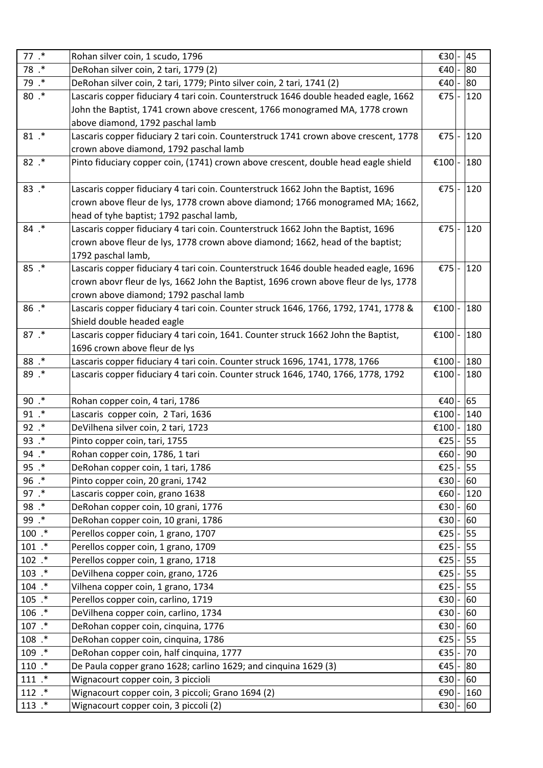| 77.        | Rohan silver coin, 1 scudo, 1796                                                     | €30    | 45  |
|------------|--------------------------------------------------------------------------------------|--------|-----|
| 78 .*      | DeRohan silver coin, 2 tari, 1779 (2)                                                | €40    | 80  |
| 79 .*      | DeRohan silver coin, 2 tari, 1779; Pinto silver coin, 2 tari, 1741 (2)               | €40    | 80  |
| $80.*$     | Lascaris copper fiduciary 4 tari coin. Counterstruck 1646 double headed eagle, 1662  | €75    | 120 |
|            | John the Baptist, 1741 crown above crescent, 1766 monogramed MA, 1778 crown          |        |     |
|            | above diamond, 1792 paschal lamb                                                     |        |     |
| $81.*$     | Lascaris copper fiduciary 2 tari coin. Counterstruck 1741 crown above crescent, 1778 | €75    | 120 |
|            | crown above diamond, 1792 paschal lamb                                               |        |     |
| $82$ .*    | Pinto fiduciary copper coin, (1741) crown above crescent, double head eagle shield   | €100   | 180 |
| $83$ .*    | Lascaris copper fiduciary 4 tari coin. Counterstruck 1662 John the Baptist, 1696     | €75    | 120 |
|            | crown above fleur de lys, 1778 crown above diamond; 1766 monogramed MA; 1662,        |        |     |
|            | head of tyhe baptist; 1792 paschal lamb,                                             |        |     |
| $84$ $.*$  | Lascaris copper fiduciary 4 tari coin. Counterstruck 1662 John the Baptist, 1696     | €75    | 120 |
|            | crown above fleur de lys, 1778 crown above diamond; 1662, head of the baptist;       |        |     |
|            | 1792 paschal lamb,                                                                   |        |     |
| $85$ .*    | Lascaris copper fiduciary 4 tari coin. Counterstruck 1646 double headed eagle, 1696  | €75    | 120 |
|            | crown abovr fleur de lys, 1662 John the Baptist, 1696 crown above fleur de lys, 1778 |        |     |
|            | crown above diamond; 1792 paschal lamb                                               |        |     |
| $86$ .*    | Lascaris copper fiduciary 4 tari coin. Counter struck 1646, 1766, 1792, 1741, 1778 & | €100   | 180 |
|            | Shield double headed eagle                                                           |        |     |
| 87.        | Lascaris copper fiduciary 4 tari coin, 1641. Counter struck 1662 John the Baptist,   | €100   | 180 |
|            | 1696 crown above fleur de lys                                                        |        |     |
| $88.$ *    | Lascaris copper fiduciary 4 tari coin. Counter struck 1696, 1741, 1778, 1766         | €100   | 180 |
| 89 .*      | Lascaris copper fiduciary 4 tari coin. Counter struck 1646, 1740, 1766, 1778, 1792   | €100   | 180 |
|            |                                                                                      |        |     |
| $90.*$     | Rohan copper coin, 4 tari, 1786                                                      | €40    | 65  |
| $91.*$     | Lascaris copper coin, 2 Tari, 1636                                                   | €100   | 140 |
| $92$ $.*$  | DeVilhena silver coin, 2 tari, 1723                                                  | €100   | 180 |
| 93 .*      | Pinto copper coin, tari, 1755                                                        | €25    | 55  |
| 94 .*      | Rohan copper coin, 1786, 1 tari                                                      | €60 -  | 90  |
| $95$ .*    | DeRohan copper coin, 1 tari, 1786                                                    | €25    | 55  |
| $96$ .*    | Pinto copper coin, 20 grani, 1742                                                    | €30    | 60  |
| $97.*$     | Lascaris copper coin, grano 1638                                                     | €60    | 120 |
| 98 .*      | DeRohan copper coin, 10 grani, 1776                                                  | €30  - | 60  |
| 99 .*      | DeRohan copper coin, 10 grani, 1786                                                  | €30    | 60  |
| $100$ $.*$ | Perellos copper coin, 1 grano, 1707                                                  | €25    | 55  |
| $101$ $.*$ | Perellos copper coin, 1 grano, 1709                                                  | €25    | 55  |
| $102$ $.*$ | Perellos copper coin, 1 grano, 1718                                                  | €25    | 55  |
| $103$ $.*$ | DeVilhena copper coin, grano, 1726                                                   | €25    | 55  |
| $104$ $.*$ | Vilhena copper coin, 1 grano, 1734                                                   | €25    | 55  |
| $105$ .*   | Perellos copper coin, carlino, 1719                                                  | €30    | 60  |
| $106$ $.*$ | DeVilhena copper coin, carlino, 1734                                                 | €30    | 60  |
| $107$ .*   | DeRohan copper coin, cinquina, 1776                                                  | €30    | 60  |
| $108$ .*   | DeRohan copper coin, cinquina, 1786                                                  | €25    | 55  |
| 109 .*     | DeRohan copper coin, half cinquina, 1777                                             | €35    | 70  |
| $110$ .*   | De Paula copper grano 1628; carlino 1629; and cinquina 1629 (3)                      | €45    | 80  |
| $111.*$    | Wignacourt copper coin, 3 piccioli                                                   | €30    | 60  |
| $112$ $.$  | Wignacourt copper coin, 3 piccoli; Grano 1694 (2)                                    | €90    | 160 |
| 113 .*     | Wignacourt copper coin, 3 piccoli (2)                                                | €30    | 60  |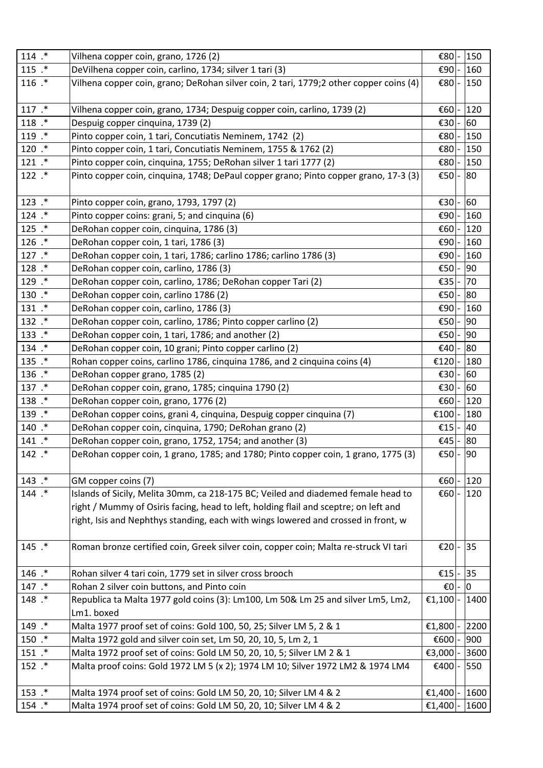| 114 .*     | Vilhena copper coin, grano, 1726 (2)                                                   | €80            |                          | 150  |
|------------|----------------------------------------------------------------------------------------|----------------|--------------------------|------|
| $115$ $.*$ | DeVilhena copper coin, carlino, 1734; silver 1 tari (3)                                | €90            |                          | 160  |
| $116$ $*$  | Vilhena copper coin, grano; DeRohan silver coin, 2 tari, 1779;2 other copper coins (4) | €80            |                          | 150  |
| $117$ $*$  | Vilhena copper coin, grano, 1734; Despuig copper coin, carlino, 1739 (2)               | €60            |                          | 120  |
| 118 .*     | Despuig copper cinquina, 1739 (2)                                                      | €30            |                          | 60   |
| 119 .*     | Pinto copper coin, 1 tari, Concutiatis Neminem, 1742 (2)                               | €80            |                          | 150  |
| $120$ $.*$ | Pinto copper coin, 1 tari, Concutiatis Neminem, 1755 & 1762 (2)                        | €80            |                          | 150  |
| 121 .*     | Pinto copper coin, cinquina, 1755; DeRohan silver 1 tari 1777 (2)                      | E80            |                          | 150  |
| $122$ $.*$ | Pinto copper coin, cinquina, 1748; DePaul copper grano; Pinto copper grano, 17-3 (3)   | E50            | $\overline{\phantom{a}}$ | 80   |
| 123 .*     | Pinto copper coin, grano, 1793, 1797 (2)                                               | E30            |                          | 60   |
| $124$ $.*$ | Pinto copper coins: grani, 5; and cinquina (6)                                         | €90            |                          | 160  |
| $125$ $.*$ | DeRohan copper coin, cinquina, 1786 (3)                                                | €60            |                          | 120  |
| $126$ $.*$ | DeRohan copper coin, 1 tari, 1786 (3)                                                  | €90            |                          | 160  |
| $127$ $.*$ | DeRohan copper coin, 1 tari, 1786; carlino 1786; carlino 1786 (3)                      | €90            |                          | 160  |
| 128 .*     | DeRohan copper coin, carlino, 1786 (3)                                                 | €50            |                          | 90   |
| 129 .*     | DeRohan copper coin, carlino, 1786; DeRohan copper Tari (2)                            | €35            |                          | 70   |
| 130 .*     | DeRohan copper coin, carlino 1786 (2)                                                  | €50            |                          | 80   |
| 131 .*     | DeRohan copper coin, carlino, 1786 (3)                                                 | €90            |                          | 160  |
| 132 .*     | DeRohan copper coin, carlino, 1786; Pinto copper carlino (2)                           | E50            |                          | 90   |
| 133.*      | DeRohan copper coin, 1 tari, 1786; and another (2)                                     | €50            |                          | 90   |
| 134 .*     | DeRohan copper coin, 10 grani; Pinto copper carlino (2)                                | €40            |                          | 80   |
| 135.*      | Rohan copper coins, carlino 1786, cinquina 1786, and 2 cinquina coins (4)              | €120           |                          | 180  |
| 136 .*     | DeRohan copper grano, 1785 (2)                                                         | €30            |                          | 60   |
| 137 .*     | DeRohan copper coin, grano, 1785; cinquina 1790 (2)                                    | €30            |                          | 60   |
| 138.*      | DeRohan copper coin, grano, 1776 (2)                                                   | €60            |                          | 120  |
| 139.*      | DeRohan copper coins, grani 4, cinquina, Despuig copper cinquina (7)                   | €100           |                          | 180  |
| 140 .*     | DeRohan copper coin, cinquina, 1790; DeRohan grano (2)                                 | €15            |                          | 40   |
| 141 .*     | DeRohan copper coin, grano, 1752, 1754; and another (3)                                | €45            |                          | 80   |
| 142 .*     | DeRohan copper coin, 1 grano, 1785; and 1780; Pinto copper coin, 1 grano, 1775 (3)     | €50 $\vert$ -  |                          | 90   |
| 143 .*     | GM copper coins (7)                                                                    | $\epsilon$ 60  |                          | 120  |
| 144 .*     | Islands of Sicily, Melita 30mm, ca 218-175 BC; Veiled and diademed female head to      | €60            |                          | 120  |
|            | right / Mummy of Osiris facing, head to left, holding flail and sceptre; on left and   |                |                          |      |
|            | right, Isis and Nephthys standing, each with wings lowered and crossed in front, w     |                |                          |      |
| 145 .*     | Roman bronze certified coin, Greek silver coin, copper coin; Malta re-struck VI tari   | E20            |                          | 35   |
| 146 .*     | Rohan silver 4 tari coin, 1779 set in silver cross brooch                              | €15            |                          | 35   |
| 147 .*     | Rohan 2 silver coin buttons, and Pinto coin                                            | €0             |                          | 10   |
| 148 .*     | Republica ta Malta 1977 gold coins (3): Lm100, Lm 50& Lm 25 and silver Lm5, Lm2,       | €1,100         |                          | 1400 |
| 149 .*     | Lm1. boxed                                                                             |                |                          | 2200 |
| $150$ $.*$ | Malta 1977 proof set of coins: Gold 100, 50, 25; Silver LM 5, 2 & 1                    | €1,800<br>€600 |                          | 900  |
|            | Malta 1972 gold and silver coin set, Lm 50, 20, 10, 5, Lm 2, 1                         |                |                          |      |
| $151$ $.*$ | Malta 1972 proof set of coins: Gold LM 50, 20, 10, 5; Silver LM 2 & 1                  | €3,000         |                          | 3600 |
| 152 .*     | Malta proof coins: Gold 1972 LM 5 (x 2); 1974 LM 10; Silver 1972 LM2 & 1974 LM4        | €400           |                          | 550  |
| $153$ $.*$ | Malta 1974 proof set of coins: Gold LM 50, 20, 10; Silver LM 4 & 2                     | €1,400         |                          | 1600 |
| 154 .*     | Malta 1974 proof set of coins: Gold LM 50, 20, 10; Silver LM 4 & 2                     | €1,400         |                          | 1600 |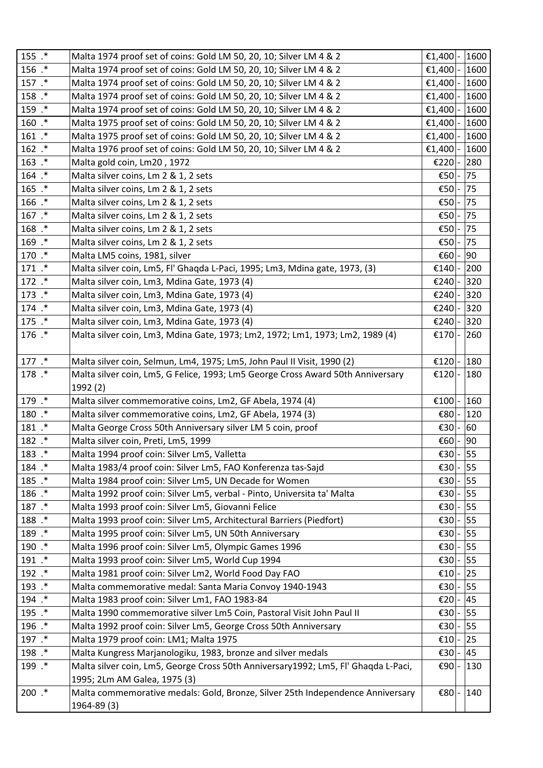| $155$ $.*$ | Malta 1974 proof set of coins: Gold LM 50, 20, 10; Silver LM 4 & 2                 | €1,400  - | 1600 |
|------------|------------------------------------------------------------------------------------|-----------|------|
| 156 .*     | Malta 1974 proof set of coins: Gold LM 50, 20, 10; Silver LM 4 & 2                 | €1,400    | 1600 |
| 157 .*     | Malta 1974 proof set of coins: Gold LM 50, 20, 10; Silver LM 4 & 2                 | €1,400    | 1600 |
| 158 .*     | Malta 1974 proof set of coins: Gold LM 50, 20, 10; Silver LM 4 & 2                 | €1,400    | 1600 |
| 159.*      | Malta 1974 proof set of coins: Gold LM 50, 20, 10; Silver LM 4 & 2                 | €1,400    | 1600 |
| $160$ .*   | Malta 1975 proof set of coins: Gold LM 50, 20, 10; Silver LM 4 & 2                 | €1,400    | 1600 |
| $161$ $.*$ | Malta 1975 proof set of coins: Gold LM 50, 20, 10; Silver LM 4 & 2                 | €1,400    | 1600 |
| $162$ $.*$ | Malta 1976 proof set of coins: Gold LM 50, 20, 10; Silver LM 4 & 2                 | €1,400    | 1600 |
| $163$ $.*$ | Malta gold coin, Lm20, 1972                                                        | €220      | 280  |
| 164 .*     | Malta silver coins, Lm 2 & 1, 2 sets                                               | €50       | 75   |
| $165$ $.*$ | Malta silver coins, Lm 2 & 1, 2 sets                                               | €50       | 75   |
| 166.*      | Malta silver coins, Lm 2 & 1, 2 sets                                               | €50       | 75   |
| $167$ $.*$ | Malta silver coins, Lm 2 & 1, 2 sets                                               | €50       | 75   |
| $168$ .*   | Malta silver coins, Lm 2 & 1, 2 sets                                               | €50       | 75   |
| 169.*      | Malta silver coins, Lm 2 & 1, 2 sets                                               | €50       | 75   |
| 170 .*     | Malta LM5 coins, 1981, silver                                                      | €60       | 90   |
| 171 .*     | Malta silver coin, Lm5, Fl' Ghaqda L-Paci, 1995; Lm3, Mdina gate, 1973, (3)        | €140      | 200  |
| 172 .*     | Malta silver coin, Lm3, Mdina Gate, 1973 (4)                                       | €240      | 320  |
| 173 .*     | Malta silver coin, Lm3, Mdina Gate, 1973 (4)                                       | €240      | 320  |
| 174 .*     | Malta silver coin, Lm3, Mdina Gate, 1973 (4)                                       | €240      | 320  |
| 175 .*     | Malta silver coin, Lm3, Mdina Gate, 1973 (4)                                       | €240      | 320  |
| 176 .*     | Malta silver coin, Lm3, Mdina Gate, 1973; Lm2, 1972; Lm1, 1973; Lm2, 1989 (4)      | €170      | 260  |
|            |                                                                                    |           |      |
| $177.$ *   | Malta silver coin, Selmun, Lm4, 1975; Lm5, John Paul II Visit, 1990 (2)            | €120      | 180  |
| 178 .*     | Malta silver coin, Lm5, G Felice, 1993; Lm5 George Cross Award 50th Anniversary    | €120      | 180  |
|            | 1992 (2)                                                                           |           |      |
| 179.*      | Malta silver commemorative coins, Lm2, GF Abela, 1974 (4)                          | €100      | 160  |
| 180 .*     | Malta silver commemorative coins, Lm2, GF Abela, 1974 (3)                          | €80       | 120  |
| 181 .*     | Malta George Cross 50th Anniversary silver LM 5 coin, proof                        | €30       | 60   |
| 182 .*     | Malta silver coin, Preti, Lm5, 1999                                                | €60       | 90   |
| 183.*      | Malta 1994 proof coin: Silver Lm5, Valletta                                        | €30 - 55  |      |
| 184 .*     | Malta 1983/4 proof coin: Silver Lm5, FAO Konferenza tas-Sajd                       | €30       | 55   |
| 185 .*     | Malta 1984 proof coin: Silver Lm5, UN Decade for Women                             | €30       | 55   |
| 186.*      | Malta 1992 proof coin: Silver Lm5, verbal - Pinto, Universita ta' Malta            | €30       | 55   |
| 187 .*     | Malta 1993 proof coin: Silver Lm5, Giovanni Felice                                 | €30       | 55   |
| 188.*      | Malta 1993 proof coin: Silver Lm5, Architectural Barriers (Piedfort)               | €30       | 55   |
| 189.*      | Malta 1995 proof coin: Silver Lm5, UN 50th Anniversary                             | €30       | 55   |
| 190 .*     | Malta 1996 proof coin: Silver Lm5, Olympic Games 1996                              | €30       | 55   |
| 191 .*     | Malta 1993 proof coin: Silver Lm5, World Cup 1994                                  | €30       | 55   |
| 192 .*     | Malta 1981 proof coin: Silver Lm2, World Food Day FAO                              | €10       | 25   |
| 193 .*     | Malta commemorative medal: Santa Maria Convoy 1940-1943                            | €30       | 55   |
| 194 .*     | Malta 1983 proof coin: Silver Lm1, FAO 1983-84                                     | €20       | 45   |
| 195 .*     | Malta 1990 commemorative silver Lm5 Coin, Pastoral Visit John Paul II              | €30       | 55   |
| 196 .*     | Malta 1992 proof coin: Silver Lm5, George Cross 50th Anniversary                   | €30       | 55   |
| 197 .*     | Malta 1979 proof coin: LM1; Malta 1975                                             | €10  -    | 25   |
| 198.*      | Malta Kungress Marjanologiku, 1983, bronze and silver medals                       | €30       | 45   |
| 199 .*     | Malta silver coin, Lm5, George Cross 50th Anniversary1992; Lm5, Fl' Ghaqda L-Paci, | €90       | 130  |
|            | 1995; 2Lm AM Galea, 1975 (3)                                                       |           |      |
| $200$ .*   | Malta commemorative medals: Gold, Bronze, Silver 25th Independence Anniversary     | €80       | 140  |
|            | 1964-89 (3)                                                                        |           |      |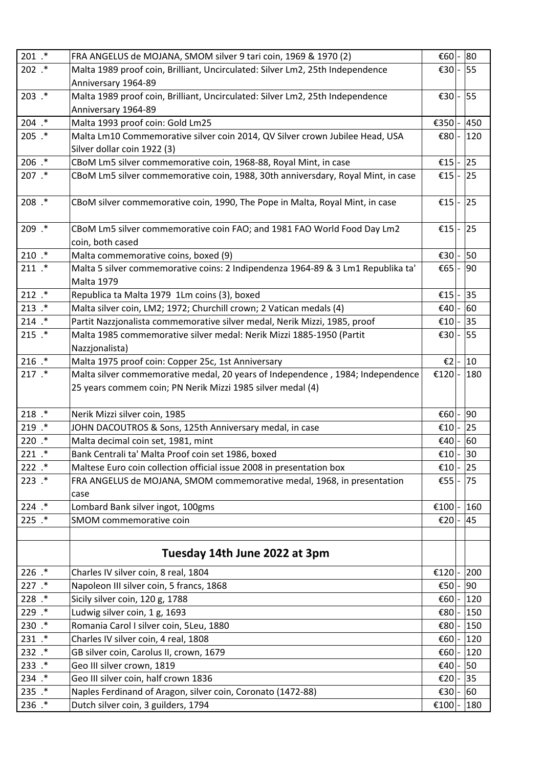| $201$ .*   | FRA ANGELUS de MOJANA, SMOM silver 9 tari coin, 1969 & 1970 (2)                  | €60 $\mid$ -    | 80  |
|------------|----------------------------------------------------------------------------------|-----------------|-----|
| $202$ $.*$ | Malta 1989 proof coin, Brilliant, Uncirculated: Silver Lm2, 25th Independence    | $\epsilon$ 30 - | 55  |
|            | Anniversary 1964-89                                                              |                 |     |
| $203$ $.*$ | Malta 1989 proof coin, Brilliant, Uncirculated: Silver Lm2, 25th Independence    | €30             | 55  |
|            | Anniversary 1964-89                                                              |                 |     |
| $204$ .*   | Malta 1993 proof coin: Gold Lm25                                                 | €350            | 450 |
| $205$ $.*$ | Malta Lm10 Commemorative silver coin 2014, QV Silver crown Jubilee Head, USA     | €80             | 120 |
|            | Silver dollar coin 1922 (3)                                                      |                 |     |
| $206$ .*   | CBoM Lm5 silver commemorative coin, 1968-88, Royal Mint, in case                 | £15             | 25  |
| $207$ $.*$ | CBoM Lm5 silver commemorative coin, 1988, 30th anniversdary, Royal Mint, in case | €15             | 25  |
| $208$ $.*$ | CBoM silver commemorative coin, 1990, The Pope in Malta, Royal Mint, in case     | €15             | 25  |
| 209 .*     | CBoM Lm5 silver commemorative coin FAO; and 1981 FAO World Food Day Lm2          | $\epsilon$ 15 - | 25  |
|            | coin, both cased                                                                 |                 |     |
| $210$ $.*$ | Malta commemorative coins, boxed (9)                                             | €30             | 50  |
| $211$ $.*$ | Malta 5 silver commemorative coins: 2 Indipendenza 1964-89 & 3 Lm1 Republika ta' | €65             | 90  |
|            | <b>Malta 1979</b>                                                                |                 |     |
| $212$ $.*$ | Republica ta Malta 1979 1Lm coins (3), boxed                                     | €15             | 35  |
| $213$ $.*$ | Malta silver coin, LM2; 1972; Churchill crown; 2 Vatican medals (4)              | €40             | 60  |
| $214$ $.*$ | Partit Nazzjonalista commemorative silver medal, Nerik Mizzi, 1985, proof        | €10             | 35  |
| $215$ $.*$ | Malta 1985 commemorative silver medal: Nerik Mizzi 1885-1950 (Partit             | €30             | 55  |
|            | Nazzjonalista)                                                                   |                 |     |
| $216$ $.*$ | Malta 1975 proof coin: Copper 25c, 1st Anniversary                               | $\epsilon$ 2    | 10  |
| $217$ $.*$ | Malta silver commemorative medal, 20 years of Independence, 1984; Independence   | €120            | 180 |
|            | 25 years commem coin; PN Nerik Mizzi 1985 silver medal (4)                       |                 |     |
| $218$ $.*$ | Nerik Mizzi silver coin, 1985                                                    | €60 -           | 90  |
| $219$ $.*$ | JOHN DACOUTROS & Sons, 125th Anniversary medal, in case                          | €10             | 25  |
| $220$ $.*$ | Malta decimal coin set, 1981, mint                                               | €40             | 60  |
| $221$ $.*$ | Bank Centrali ta' Malta Proof coin set 1986, boxed                               | €10 -           | 30  |
| $222$ $.*$ | Maltese Euro coin collection official issue 2008 in presentation box             | €10             | 25  |
| $223$ $.*$ | FRA ANGELUS de MOJANA, SMOM commemorative medal, 1968, in presentation           | €55             | 75  |
|            | case                                                                             |                 |     |
| $224$ $.*$ | Lombard Bank silver ingot, 100gms                                                | €100            | 160 |
| $225$ $.*$ | SMOM commemorative coin                                                          | €20             | 45  |
|            |                                                                                  |                 |     |
|            | Tuesday 14th June 2022 at 3pm                                                    |                 |     |
| $226$ $.*$ | Charles IV silver coin, 8 real, 1804                                             | €120            | 200 |
| $227$ $.*$ | Napoleon III silver coin, 5 francs, 1868                                         | €50             | 90  |
| 228 .*     | Sicily silver coin, 120 g, 1788                                                  | €60             | 120 |
| 229 .*     | Ludwig silver coin, 1 g, 1693                                                    | €80             | 150 |
| $230$ $.*$ | Romania Carol I silver coin, 5Leu, 1880                                          | €80             | 150 |
| 231 .*     |                                                                                  |                 | 120 |
|            | Charles IV silver coin, 4 real, 1808                                             | €60             |     |
| $232$ $.*$ | GB silver coin, Carolus II, crown, 1679                                          | €60             | 120 |
| $233$ $.*$ | Geo III silver crown, 1819                                                       | €40             | 50  |
| 234 .*     | Geo III silver coin, half crown 1836                                             | €20             | 35  |
| $235$ $.*$ | Naples Ferdinand of Aragon, silver coin, Coronato (1472-88)                      | €30             | 60  |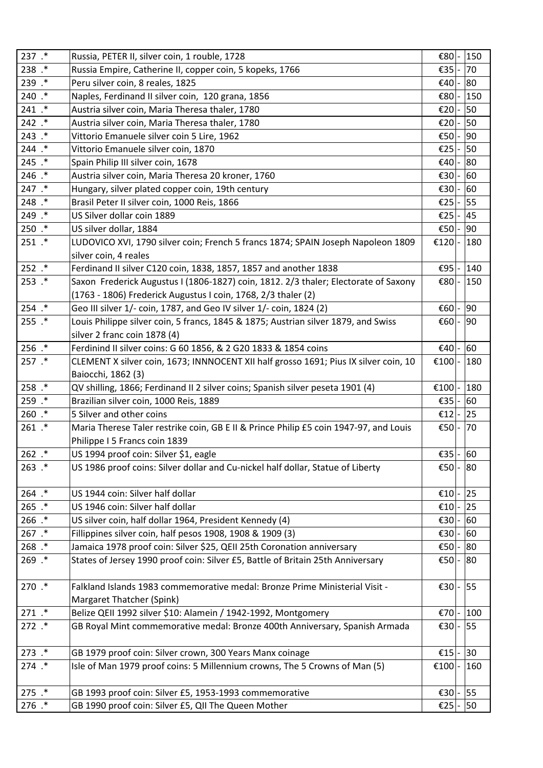| 237 .*     | Russia, PETER II, silver coin, 1 rouble, 1728                                         | €80    | 150 |
|------------|---------------------------------------------------------------------------------------|--------|-----|
| 238 .*     | Russia Empire, Catherine II, copper coin, 5 kopeks, 1766                              | €35    | 70  |
| 239 .*     | Peru silver coin, 8 reales, 1825                                                      | €40    | 80  |
| 240 .*     | Naples, Ferdinand II silver coin, 120 grana, 1856                                     | €80    | 150 |
| 241 .*     | Austria silver coin, Maria Theresa thaler, 1780                                       | €20    | 50  |
| $242$ $*$  | Austria silver coin, Maria Theresa thaler, 1780                                       | €20    | 50  |
| $243$ $.*$ | Vittorio Emanuele silver coin 5 Lire, 1962                                            | €50    | 90  |
| 244 .*     | Vittorio Emanuele silver coin, 1870                                                   | €25    | 50  |
| $245$ $.*$ | Spain Philip III silver coin, 1678                                                    | €40    | 80  |
| 246 .*     | Austria silver coin, Maria Theresa 20 kroner, 1760                                    | €30    | 60  |
| 247 .*     | Hungary, silver plated copper coin, 19th century                                      | €30    | 60  |
| 248 .*     | Brasil Peter II silver coin, 1000 Reis, 1866                                          | €25    | 55  |
| 249 .*     | US Silver dollar coin 1889                                                            | €25    | 45  |
| $250$ .*   | US silver dollar, 1884                                                                | €50    | 90  |
| $251$ $.*$ | LUDOVICO XVI, 1790 silver coin; French 5 francs 1874; SPAIN Joseph Napoleon 1809      | €120   | 180 |
|            | silver coin, 4 reales                                                                 |        |     |
| $252$ $.*$ | Ferdinand II silver C120 coin, 1838, 1857, 1857 and another 1838                      | €95    | 140 |
| $253$ $.*$ | Saxon Frederick Augustus I (1806-1827) coin, 1812. 2/3 thaler; Electorate of Saxony   | €80    | 150 |
|            | (1763 - 1806) Frederick Augustus I coin, 1768, 2/3 thaler (2)                         |        |     |
| $254$ $.*$ | Geo III silver 1/- coin, 1787, and Geo IV silver 1/- coin, 1824 (2)                   | €60    | 90  |
| $255$ $.*$ | Louis Philippe silver coin, 5 francs, 1845 & 1875; Austrian silver 1879, and Swiss    | €60    | 90  |
|            | silver 2 franc coin 1878 (4)                                                          |        |     |
| $256$ $.*$ | Ferdinind II silver coins: G 60 1856, & 2 G20 1833 & 1854 coins                       | €40    | 60  |
| $257$ $.*$ | CLEMENT X silver coin, 1673; INNNOCENT XII half grosso 1691; Pius IX silver coin, 10  | €100   | 180 |
|            | Baiocchi, 1862 (3)                                                                    |        |     |
| 258 .*     | QV shilling, 1866; Ferdinand II 2 silver coins; Spanish silver peseta 1901 (4)        | €100   | 180 |
| 259 .*     | Brazilian silver coin, 1000 Reis, 1889                                                | €35    | 60  |
| $260$ .*   | 5 Silver and other coins                                                              | €12    | 25  |
| $261$ $.*$ | Maria Therese Taler restrike coin, GB E II & Prince Philip £5 coin 1947-97, and Louis | €50    | 70  |
|            | Philippe I 5 Francs coin 1839                                                         |        |     |
| $262$ $.*$ | US 1994 proof coin: Silver \$1, eagle                                                 | €35  - | 60  |
| $263$ $.*$ | US 1986 proof coins: Silver dollar and Cu-nickel half dollar, Statue of Liberty       | €50    | 80  |
|            |                                                                                       |        |     |
| $264$ $.*$ | US 1944 coin: Silver half dollar                                                      | €10    | 25  |
| $265$ $.*$ | US 1946 coin: Silver half dollar                                                      | €10    | 25  |
| $266$ $.*$ | US silver coin, half dollar 1964, President Kennedy (4)                               | €30    | 60  |
| $267$ $.*$ | Fillippines silver coin, half pesos 1908, 1908 & 1909 (3)                             | €30    | 60  |
| $268$ $.*$ | Jamaica 1978 proof coin: Silver \$25, QEII 25th Coronation anniversary                | €50    | 80  |
| $269$ $.*$ | States of Jersey 1990 proof coin: Silver £5, Battle of Britain 25th Anniversary       | €50    | 80  |
|            |                                                                                       |        |     |
| 270 .*     | Falkland Islands 1983 commemorative medal: Bronze Prime Ministerial Visit -           | €30    | 55  |
|            | Margaret Thatcher (Spink)                                                             |        |     |
| $271$ $.*$ | Belize QEII 1992 silver \$10: Alamein / 1942-1992, Montgomery                         | €70    | 100 |
| $272$ $*$  | GB Royal Mint commemorative medal: Bronze 400th Anniversary, Spanish Armada           | €30    | 55  |
|            |                                                                                       |        |     |
| $273$ $.*$ | GB 1979 proof coin: Silver crown, 300 Years Manx coinage                              | €15    | 30  |
| 274 .*     | Isle of Man 1979 proof coins: 5 Millennium crowns, The 5 Crowns of Man (5)            | €100   | 160 |
|            |                                                                                       |        |     |
| $275$ $.*$ | GB 1993 proof coin: Silver £5, 1953-1993 commemorative                                | €30    | 55  |
| 276 .*     | GB 1990 proof coin: Silver £5, QII The Queen Mother                                   | €25    | 50  |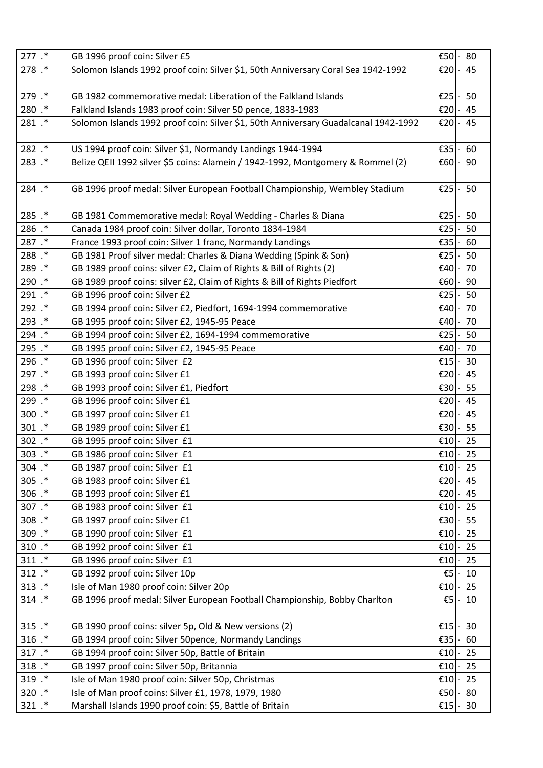| 277 .*     | GB 1996 proof coin: Silver £5                                                       | €50           | 80 |
|------------|-------------------------------------------------------------------------------------|---------------|----|
| 278 .*     | Solomon Islands 1992 proof coin: Silver \$1, 50th Anniversary Coral Sea 1942-1992   | €20           | 45 |
|            |                                                                                     |               |    |
| 279 .*     | GB 1982 commemorative medal: Liberation of the Falkland Islands                     | €25           | 50 |
| 280 .*     | Falkland Islands 1983 proof coin: Silver 50 pence, 1833-1983                        | €20           | 45 |
| 281 .*     | Solomon Islands 1992 proof coin: Silver \$1, 50th Anniversary Guadalcanal 1942-1992 | €20           | 45 |
|            |                                                                                     |               |    |
| 282 .*     | US 1994 proof coin: Silver \$1, Normandy Landings 1944-1994                         | €35           | 60 |
| 283.*      | Belize QEII 1992 silver \$5 coins: Alamein / 1942-1992, Montgomery & Rommel (2)     | E60           | 90 |
|            |                                                                                     |               |    |
| 284 .*     | GB 1996 proof medal: Silver European Football Championship, Wembley Stadium         | $\epsilon$ 25 | 50 |
|            |                                                                                     |               |    |
| 285.*      | GB 1981 Commemorative medal: Royal Wedding - Charles & Diana                        | €25           | 50 |
| 286 .*     | Canada 1984 proof coin: Silver dollar, Toronto 1834-1984                            | €25           | 50 |
| 287 .*     | France 1993 proof coin: Silver 1 franc, Normandy Landings                           | €35           | 60 |
| 288.*      | GB 1981 Proof silver medal: Charles & Diana Wedding (Spink & Son)                   | €25           | 50 |
| 289 .*     | GB 1989 proof coins: silver £2, Claim of Rights & Bill of Rights (2)                | €40           | 70 |
| 290 .*     | GB 1989 proof coins: silver £2, Claim of Rights & Bill of Rights Piedfort           | €60           | 90 |
| 291 .*     | GB 1996 proof coin: Silver £2                                                       | €25           | 50 |
| 292 .*     | GB 1994 proof coin: Silver £2, Piedfort, 1694-1994 commemorative                    | €40           | 70 |
| 293 .*     | GB 1995 proof coin: Silver £2, 1945-95 Peace                                        | €40           | 70 |
| 294 .*     | GB 1994 proof coin: Silver £2, 1694-1994 commemorative                              | €25           | 50 |
| 295 .*     | GB 1995 proof coin: Silver £2, 1945-95 Peace                                        | €40           | 70 |
| 296 .*     | GB 1996 proof coin: Silver £2                                                       | €15           | 30 |
| 297 .*     | GB 1993 proof coin: Silver £1                                                       | €20           | 45 |
| 298 .*     | GB 1993 proof coin: Silver £1, Piedfort                                             | €30           | 55 |
| 299 .*     | GB 1996 proof coin: Silver £1                                                       | €20           | 45 |
| $300$ .*   | GB 1997 proof coin: Silver £1                                                       | €20           | 45 |
| $301$ $.*$ | GB 1989 proof coin: Silver £1                                                       | €30           | 55 |
| 302 .*     | GB 1995 proof coin: Silver £1                                                       | £10           | 25 |
| $303$ .*   | GB 1986 proof coin: Silver £1                                                       | €10 -         | 25 |
| $304$ $.*$ | GB 1987 proof coin: Silver £1                                                       | €10           | 25 |
| $305$ .*   | GB 1983 proof coin: Silver £1                                                       | €20           | 45 |
| $306$ $.*$ | GB 1993 proof coin: Silver £1                                                       | €20           | 45 |
| 307.*      | GB 1983 proof coin: Silver £1                                                       | €10           | 25 |
| $308$ $.*$ | GB 1997 proof coin: Silver £1                                                       | €30           | 55 |
| 309 .*     | GB 1990 proof coin: Silver £1                                                       | €10           | 25 |
| $310$ $.*$ | GB 1992 proof coin: Silver £1                                                       | €10           | 25 |
| $311.*$    | GB 1996 proof coin: Silver £1                                                       | €10           | 25 |
| $312$ .*   | GB 1992 proof coin: Silver 10p                                                      | €5            | 10 |
| $313$ $.*$ | Isle of Man 1980 proof coin: Silver 20p                                             | €10           | 25 |
| $314.$ *   | GB 1996 proof medal: Silver European Football Championship, Bobby Charlton          | €5            | 10 |
|            |                                                                                     |               |    |
| $315$ $.*$ | GB 1990 proof coins: silver 5p, Old & New versions (2)                              | €15           | 30 |
| $316$ $.*$ | GB 1994 proof coin: Silver 50pence, Normandy Landings                               | €35           | 60 |
| 317 .*     | GB 1994 proof coin: Silver 50p, Battle of Britain                                   | €10           | 25 |
| $318$ $.*$ | GB 1997 proof coin: Silver 50p, Britannia                                           | €10           | 25 |
| 319 .*     | Isle of Man 1980 proof coin: Silver 50p, Christmas                                  | €10           | 25 |
| 320 .*     | Isle of Man proof coins: Silver £1, 1978, 1979, 1980                                | €50           | 80 |
| 321 .*     | Marshall Islands 1990 proof coin: \$5, Battle of Britain                            | €15           | 30 |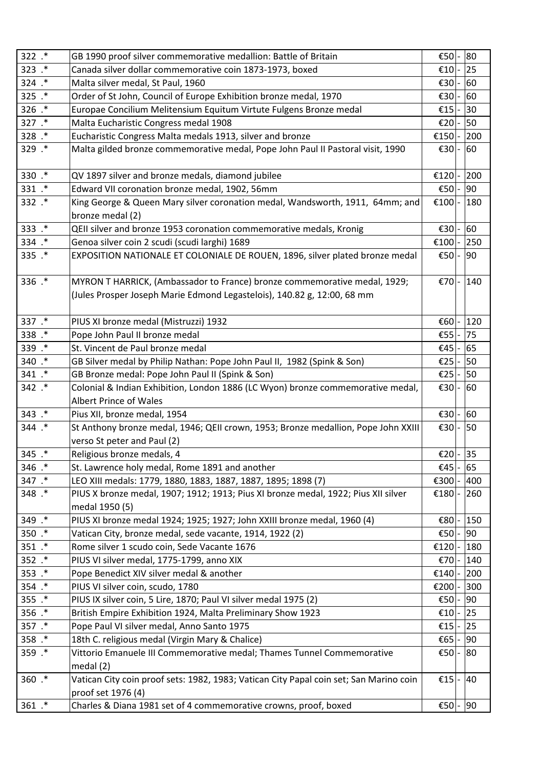| 322 .*     | GB 1990 proof silver commemorative medallion: Battle of Britain                        | €50    | 80  |
|------------|----------------------------------------------------------------------------------------|--------|-----|
| 323 .*     | Canada silver dollar commemorative coin 1873-1973, boxed                               | €10    | 25  |
| 324 .*     | Malta silver medal, St Paul, 1960                                                      | €30    | 60  |
| 325 .*     | Order of St John, Council of Europe Exhibition bronze medal, 1970                      | €30    | 60  |
| 326 .*     | Europae Concilium Melitensium Equitum Virtute Fulgens Bronze medal                     | €15    | 30  |
| 327 .*     | Malta Eucharistic Congress medal 1908                                                  | €20    | 50  |
| 328 .*     | Eucharistic Congress Malta medals 1913, silver and bronze                              | €150   | 200 |
| 329 .*     | Malta gilded bronze commemorative medal, Pope John Paul II Pastoral visit, 1990        | €30    | 60  |
|            |                                                                                        |        |     |
| 330 .*     | QV 1897 silver and bronze medals, diamond jubilee                                      | €120   | 200 |
| 331 .*     | Edward VII coronation bronze medal, 1902, 56mm                                         | €50    | 90  |
| 332 .*     | King George & Queen Mary silver coronation medal, Wandsworth, 1911, 64mm; and          | €100   | 180 |
|            | bronze medal (2)                                                                       |        |     |
| 333.*      | QEII silver and bronze 1953 coronation commemorative medals, Kronig                    | €30    | 60  |
| 334 .*     | Genoa silver coin 2 scudi (scudi larghi) 1689                                          | €100   | 250 |
| 335 .*     | EXPOSITION NATIONALE ET COLONIALE DE ROUEN, 1896, silver plated bronze medal           | €50    | 90  |
|            |                                                                                        |        |     |
| 336 .*     | MYRON T HARRICK, (Ambassador to France) bronze commemorative medal, 1929;              | €70    | 140 |
|            | (Jules Prosper Joseph Marie Edmond Legastelois), 140.82 g, 12:00, 68 mm                |        |     |
|            |                                                                                        |        |     |
| 337 .*     | PIUS XI bronze medal (Mistruzzi) 1932                                                  | €60    | 120 |
| 338 .*     | Pope John Paul II bronze medal                                                         | €55    | 75  |
| 339 .*     | St. Vincent de Paul bronze medal                                                       | €45    | 65  |
| 340 .*     | GB Silver medal by Philip Nathan: Pope John Paul II, 1982 (Spink & Son)                | €25    | 50  |
| 341 .*     | GB Bronze medal: Pope John Paul II (Spink & Son)                                       | €25    | 50  |
| 342 .*     | Colonial & Indian Exhibition, London 1886 (LC Wyon) bronze commemorative medal,        | €30    | 60  |
|            | <b>Albert Prince of Wales</b>                                                          |        |     |
| 343 .*     | Pius XII, bronze medal, 1954                                                           | €30    | 60  |
| 344 .*     | St Anthony bronze medal, 1946; QEII crown, 1953; Bronze medallion, Pope John XXIII     | €30    | 50  |
|            | verso St peter and Paul (2)                                                            |        |     |
| 345 .*     | Religious bronze medals, 4                                                             | €20  - | 35  |
| 346 .*     | St. Lawrence holy medal, Rome 1891 and another                                         | €45    | 65  |
| 347 .*     | LEO XIII medals: 1779, 1880, 1883, 1887, 1887, 1895; 1898 (7)                          | €300   | 400 |
| 348 .*     | PIUS X bronze medal, 1907; 1912; 1913; Pius XI bronze medal, 1922; Pius XII silver     | €180   | 260 |
|            | medal 1950 (5)                                                                         |        |     |
| 349 .*     | PIUS XI bronze medal 1924; 1925; 1927; John XXIII bronze medal, 1960 (4)               | €80    | 150 |
| $350$ $.*$ | Vatican City, bronze medal, sede vacante, 1914, 1922 (2)                               | €50    | 90  |
| 351 .*     | Rome silver 1 scudo coin, Sede Vacante 1676                                            | €120   | 180 |
| $352$ $.*$ | PIUS VI silver medal, 1775-1799, anno XIX                                              | €70    | 140 |
| $353$ .*   | Pope Benedict XIV silver medal & another                                               | €140   | 200 |
| 354 .*     | PIUS VI silver coin, scudo, 1780                                                       | €200   | 300 |
| $355$ $.*$ | PIUS IX silver coin, 5 Lire, 1870; Paul VI silver medal 1975 (2)                       | €50    | 90  |
| 356 .*     | British Empire Exhibition 1924, Malta Preliminary Show 1923                            | €10    | 25  |
| 357 .*     | Pope Paul VI silver medal, Anno Santo 1975                                             | €15    | 25  |
| 358 .*     | 18th C. religious medal (Virgin Mary & Chalice)                                        | €65    | 90  |
| 359 .*     | Vittorio Emanuele III Commemorative medal; Thames Tunnel Commemorative                 | €50    | 80  |
|            | medal $(2)$                                                                            |        |     |
| $360.*$    | Vatican City coin proof sets: 1982, 1983; Vatican City Papal coin set; San Marino coin | €15    | 40  |
|            | proof set 1976 (4)                                                                     |        |     |
| $361.*$    | Charles & Diana 1981 set of 4 commemorative crowns, proof, boxed                       | €50    | 90  |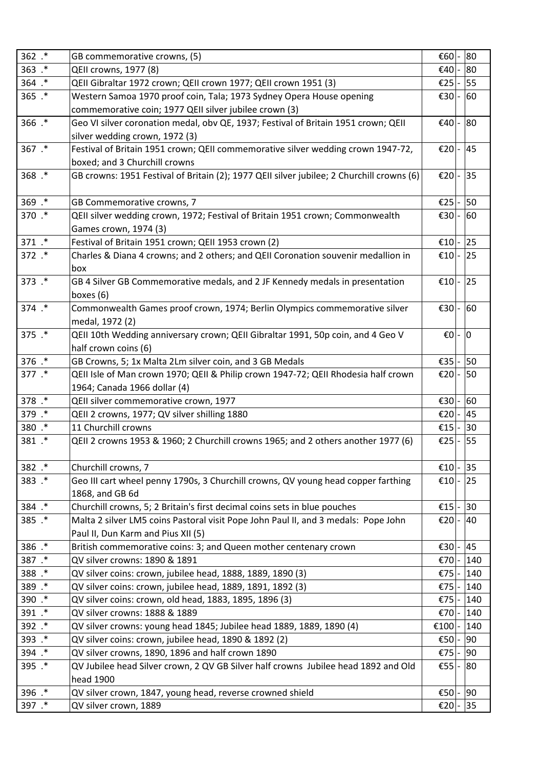| 362.*      | GB commemorative crowns, (5)                                                              | €60          | 80  |
|------------|-------------------------------------------------------------------------------------------|--------------|-----|
| 363.*      | QEII crowns, 1977 (8)                                                                     | €40          | 80  |
| 364 .*     | QEII Gibraltar 1972 crown; QEII crown 1977; QEII crown 1951 (3)                           | €25          | 55  |
| $365$ $.*$ | Western Samoa 1970 proof coin, Tala; 1973 Sydney Opera House opening                      | €30 $\mid$ - | 60  |
|            | commemorative coin; 1977 QEII silver jubilee crown (3)                                    |              |     |
| 366 .*     | Geo VI silver coronation medal, obv QE, 1937; Festival of Britain 1951 crown; QEII        | €40          | 80  |
|            | silver wedding crown, 1972 (3)                                                            |              |     |
| 367 .*     | Festival of Britain 1951 crown; QEII commemorative silver wedding crown 1947-72,          | €20          | 45  |
|            | boxed; and 3 Churchill crowns                                                             |              |     |
| 368.*      | GB crowns: 1951 Festival of Britain (2); 1977 QEII silver jubilee; 2 Churchill crowns (6) | €20          | 35  |
|            |                                                                                           |              |     |
| 369.*      | GB Commemorative crowns, 7                                                                | €25          | 50  |
| 370 .*     | QEII silver wedding crown, 1972; Festival of Britain 1951 crown; Commonwealth             | €30          | 60  |
|            | Games crown, 1974 (3)                                                                     |              |     |
| 371 .*     | Festival of Britain 1951 crown; QEII 1953 crown (2)                                       | €10          | 25  |
| 372 .*     | Charles & Diana 4 crowns; and 2 others; and QEII Coronation souvenir medallion in         | €10 -        | 25  |
|            | box                                                                                       |              |     |
| 373 .*     | GB 4 Silver GB Commemorative medals, and 2 JF Kennedy medals in presentation              | €10          | 25  |
|            | boxes (6)                                                                                 |              |     |
| 374 .*     | Commonwealth Games proof crown, 1974; Berlin Olympics commemorative silver                | €30          | 60  |
|            | medal, 1972 (2)                                                                           |              |     |
| 375.*      | QEII 10th Wedding anniversary crown; QEII Gibraltar 1991, 50p coin, and 4 Geo V           | €O           | 0   |
|            | half crown coins (6)                                                                      |              |     |
| 376 .*     | GB Crowns, 5; 1x Malta 2Lm silver coin, and 3 GB Medals                                   | €35          | 50  |
| 377 .*     | QEII Isle of Man crown 1970; QEII & Philip crown 1947-72; QEII Rhodesia half crown        | €20          | 50  |
|            | 1964; Canada 1966 dollar (4)                                                              |              |     |
| 378 .*     | QEII silver commemorative crown, 1977                                                     | €30          | 60  |
| 379.*      | QEII 2 crowns, 1977; QV silver shilling 1880                                              | €20          | 45  |
| 380 .*     | 11 Churchill crowns                                                                       | £15          | 30  |
| 381 .*     | QEII 2 crowns 1953 & 1960; 2 Churchill crowns 1965; and 2 others another 1977 (6)         | €25          | 55  |
|            |                                                                                           |              |     |
| 382 .*     | Churchill crowns, 7                                                                       | €10          | 35  |
| 383.*      | Geo III cart wheel penny 1790s, 3 Churchill crowns, QV young head copper farthing         | €10          | 25  |
|            | 1868, and GB 6d                                                                           |              |     |
| 384 .*     | Churchill crowns, 5; 2 Britain's first decimal coins sets in blue pouches                 | €15          | 30  |
| 385.*      | Malta 2 silver LM5 coins Pastoral visit Pope John Paul II, and 3 medals: Pope John        | €20          | 40  |
|            | Paul II, Dun Karm and Pius XII (5)                                                        |              |     |
| 386 .*     | British commemorative coins: 3; and Queen mother centenary crown                          | €30          | 45  |
| 387 .*     | QV silver crowns: 1890 & 1891                                                             | €70          | 140 |
| 388.*      | QV silver coins: crown, jubilee head, 1888, 1889, 1890 (3)                                | €75          | 140 |
| 389.*      | QV silver coins: crown, jubilee head, 1889, 1891, 1892 (3)                                | €75          | 140 |
| 390 .*     | QV silver coins: crown, old head, 1883, 1895, 1896 (3)                                    | €75          | 140 |
| 391 .*     | QV silver crowns: 1888 & 1889                                                             | €70          | 140 |
| 392 .*     | QV silver crowns: young head 1845; Jubilee head 1889, 1889, 1890 (4)                      | €100         | 140 |
| 393.*      | QV silver coins: crown, jubilee head, 1890 & 1892 (2)                                     | €50          | 90  |
| 394 .*     | QV silver crowns, 1890, 1896 and half crown 1890                                          | €75          | 90  |
| 395 .*     | QV Jubilee head Silver crown, 2 QV GB Silver half crowns Jubilee head 1892 and Old        | €55          | 80  |
|            | head 1900                                                                                 |              |     |
| 396 .*     | QV silver crown, 1847, young head, reverse crowned shield                                 | €50          | 90  |
| 397 .*     | QV silver crown, 1889                                                                     | €20          | 35  |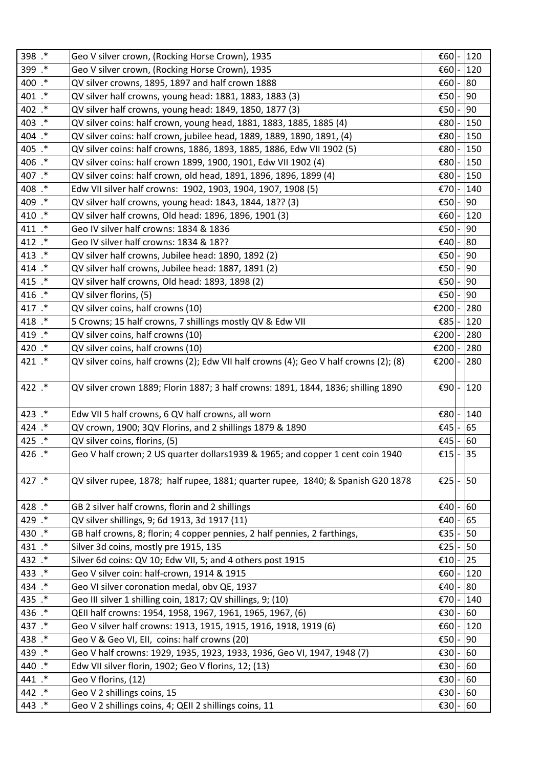| 398 .* | Geo V silver crown, (Rocking Horse Crown), 1935                                       | €60    | 120 |
|--------|---------------------------------------------------------------------------------------|--------|-----|
| 399 .* | Geo V silver crown, (Rocking Horse Crown), 1935                                       | €60    | 120 |
| 400 .* | QV silver crowns, 1895, 1897 and half crown 1888                                      | €60    | 80  |
| 401 .* | QV silver half crowns, young head: 1881, 1883, 1883 (3)                               | €50    | 90  |
| 402 .* | QV silver half crowns, young head: 1849, 1850, 1877 (3)                               | €50    | 90  |
| 403 .* | QV silver coins: half crown, young head, 1881, 1883, 1885, 1885 (4)                   | €80    | 150 |
| 404 .* | QV silver coins: half crown, jubilee head, 1889, 1889, 1890, 1891, (4)                | €80    | 150 |
| 405 .* | QV silver coins: half crowns, 1886, 1893, 1885, 1886, Edw VII 1902 (5)                | €80    | 150 |
| 406 .* | QV silver coins: half crown 1899, 1900, 1901, Edw VII 1902 (4)                        | €80    | 150 |
| 407 .* | QV silver coins: half crown, old head, 1891, 1896, 1896, 1899 (4)                     | €80    | 150 |
| 408 .* | Edw VII silver half crowns: 1902, 1903, 1904, 1907, 1908 (5)                          | €70    | 140 |
| 409 .* | QV silver half crowns, young head: 1843, 1844, 18?? (3)                               | €50    | 90  |
| 410 .* | QV silver half crowns, Old head: 1896, 1896, 1901 (3)                                 | €60    | 120 |
| 411 .* | Geo IV silver half crowns: 1834 & 1836                                                | €50    | 90  |
| 412 .* | Geo IV silver half crowns: 1834 & 18??                                                | €40    | 80  |
| 413 .* | QV silver half crowns, Jubilee head: 1890, 1892 (2)                                   | €50    | 90  |
| 414 .* | QV silver half crowns, Jubilee head: 1887, 1891 (2)                                   | €50    | 90  |
| 415 .* | QV silver half crowns, Old head: 1893, 1898 (2)                                       | €50    | 90  |
| 416 .* | QV silver florins, (5)                                                                | €50    | 90  |
| 417 .* | QV silver coins, half crowns (10)                                                     | €200   | 280 |
| 418 .* | 5 Crowns; 15 half crowns, 7 shillings mostly QV & Edw VII                             | €85    | 120 |
| 419 .* | QV silver coins, half crowns (10)                                                     | €200   | 280 |
| 420 .* | QV silver coins, half crowns (10)                                                     | €200   | 280 |
| 421 .* | QV silver coins, half crowns (2); Edw VII half crowns (4); Geo V half crowns (2); (8) | €200 - | 280 |
|        |                                                                                       |        |     |
| 422 .* | QV silver crown 1889; Florin 1887; 3 half crowns: 1891, 1844, 1836; shilling 1890     | €90    | 120 |
| 423 .* | Edw VII 5 half crowns, 6 QV half crowns, all worn                                     | €80    | 140 |
| 424 .* | QV crown, 1900; 3QV Florins, and 2 shillings 1879 & 1890                              | €45    | 65  |
| 425 .* | QV silver coins, florins, (5)                                                         | €45    | 60  |
| 426 .* | Geo V half crown; 2 US quarter dollars1939 & 1965; and copper 1 cent coin 1940        | €15  - | 35  |
|        |                                                                                       |        |     |
| 427 .* | QV silver rupee, 1878; half rupee, 1881; quarter rupee, 1840; & Spanish G20 1878      | €25    | 50  |
|        |                                                                                       |        |     |
| 428 .* | GB 2 silver half crowns, florin and 2 shillings                                       | €40    | 60  |
| 429 .* | QV silver shillings, 9; 6d 1913, 3d 1917 (11)                                         | €40    | 65  |
| 430 .* | GB half crowns, 8; florin; 4 copper pennies, 2 half pennies, 2 farthings,             | €35    | 50  |
| 431 .* | Silver 3d coins, mostly pre 1915, 135                                                 | €25    | 50  |
| 432 .* | Silver 6d coins: QV 10; Edw VII, 5; and 4 others post 1915                            | €10    | 25  |
| 433 .* | Geo V silver coin: half-crown, 1914 & 1915                                            | €60    | 120 |
| 434 .* | Geo VI silver coronation medal, obv QE, 1937                                          | €40    | 80  |
| 435 .* | Geo III silver 1 shilling coin, 1817; QV shillings, 9; (10)                           | €70    | 140 |
| 436 .* | QEII half crowns: 1954, 1958, 1967, 1961, 1965, 1967, (6)                             | E30    | 60  |
| 437 .* | Geo V silver half crowns: 1913, 1915, 1915, 1916, 1918, 1919 (6)                      | €60    | 120 |
| 438 .* | Geo V & Geo VI, EII, coins: half crowns (20)                                          | €50    | 90  |
| 439.*  | Geo V half crowns: 1929, 1935, 1923, 1933, 1936, Geo VI, 1947, 1948 (7)               | €30    | 60  |
| 440 .* | Edw VII silver florin, 1902; Geo V florins, 12; (13)                                  | €30    | 60  |
| 441 .* | Geo V florins, (12)                                                                   | €30    | 60  |
| 442 .* | Geo V 2 shillings coins, 15                                                           | €30    | 60  |
| 443 .* | Geo V 2 shillings coins, 4; QEII 2 shillings coins, 11                                | €30    | 60  |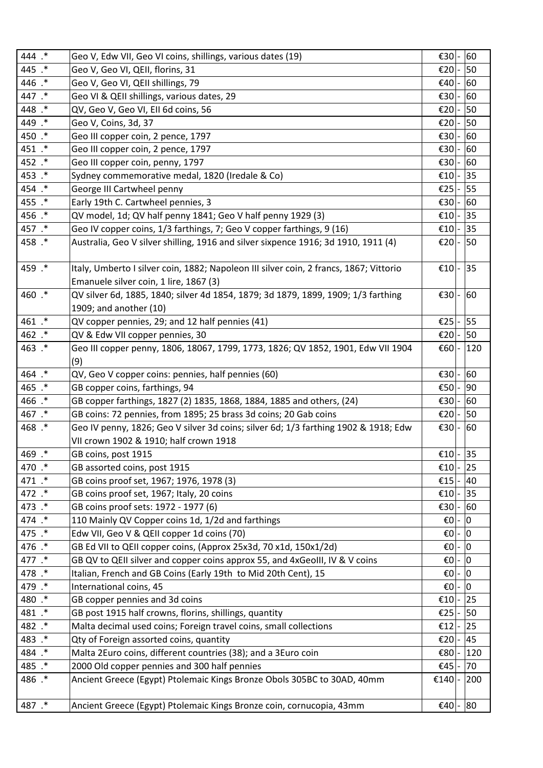| 444 .* | Geo V, Edw VII, Geo VI coins, shillings, various dates (19)                                                                      | €30           | 60             |
|--------|----------------------------------------------------------------------------------------------------------------------------------|---------------|----------------|
| 445 .* | Geo V, Geo VI, QEII, florins, 31                                                                                                 | €20           | 50             |
| 446 .* | Geo V, Geo VI, QEII shillings, 79                                                                                                | €40           | 60             |
| 447 .* | Geo VI & QEII shillings, various dates, 29                                                                                       | €30           | 60             |
| 448 .* | QV, Geo V, Geo VI, Ell 6d coins, 56                                                                                              | €20           | 50             |
| 449 .* | Geo V, Coins, 3d, 37                                                                                                             | €20           | 50             |
| 450 .* | Geo III copper coin, 2 pence, 1797                                                                                               | €30           | 60             |
| 451 .* | Geo III copper coin, 2 pence, 1797                                                                                               | €30           | 60             |
| 452 .* | Geo III copper coin, penny, 1797                                                                                                 | €30           | 60             |
| 453 .* | Sydney commemorative medal, 1820 (Iredale & Co)                                                                                  | €10           | 35             |
| 454 .* | George III Cartwheel penny                                                                                                       | €25           | 55             |
| 455.*  | Early 19th C. Cartwheel pennies, 3                                                                                               | €30           | 60             |
| 456 .* | QV model, 1d; QV half penny 1841; Geo V half penny 1929 (3)                                                                      | €10           | 35             |
| 457 .* | Geo IV copper coins, 1/3 farthings, 7; Geo V copper farthings, 9 (16)                                                            | €10           | 35             |
| 458.*  | Australia, Geo V silver shilling, 1916 and silver sixpence 1916; 3d 1910, 1911 (4)                                               | €20           | 50             |
| 459 .* | Italy, Umberto I silver coin, 1882; Napoleon III silver coin, 2 francs, 1867; Vittorio<br>Emanuele silver coin, 1 lire, 1867 (3) | €10           | 35             |
| 460 .* | QV silver 6d, 1885, 1840; silver 4d 1854, 1879; 3d 1879, 1899, 1909; 1/3 farthing                                                | €30           | 60             |
|        | 1909; and another (10)                                                                                                           |               |                |
| 461 .* | QV copper pennies, 29; and 12 half pennies (41)                                                                                  | €25           | 55             |
| 462 .* | QV & Edw VII copper pennies, 30                                                                                                  | €20           | 50             |
| 463.*  | Geo III copper penny, 1806, 18067, 1799, 1773, 1826; QV 1852, 1901, Edw VII 1904                                                 | €60           | 120            |
|        | (9)                                                                                                                              |               |                |
| 464.*  | QV, Geo V copper coins: pennies, half pennies (60)                                                                               | €30           | 60             |
| 465.*  | GB copper coins, farthings, 94                                                                                                   | €50           | 90             |
| 466.*  | GB copper farthings, 1827 (2) 1835, 1868, 1884, 1885 and others, (24)                                                            | €30           | 60             |
| 467.*  | GB coins: 72 pennies, from 1895; 25 brass 3d coins; 20 Gab coins                                                                 | €20           | 50             |
| 468.*  | Geo IV penny, 1826; Geo V silver 3d coins; silver 6d; 1/3 farthing 1902 & 1918; Edw                                              | €30 $\vert$ - | 60             |
|        | VII crown 1902 & 1910; half crown 1918                                                                                           |               |                |
| 469.*  | GB coins, post 1915                                                                                                              | €10 -         | 35             |
| 470 .* | GB assorted coins, post 1915                                                                                                     | €10           | 25             |
| 471 .* | GB coins proof set, 1967; 1976, 1978 (3)                                                                                         | €15           | 40             |
| 472 .* | GB coins proof set, 1967; Italy, 20 coins                                                                                        | €10           | 35             |
| 473 .* | GB coins proof sets: 1972 - 1977 (6)                                                                                             | €30           | 60             |
| 474 .* | 110 Mainly QV Copper coins 1d, 1/2d and farthings                                                                                | €O            | 0              |
| 475 .* | Edw VII, Geo V & QEII copper 1d coins (70)                                                                                       | €0            | 10             |
| 476 .* | GB Ed VII to QEII copper coins, (Approx 25x3d, 70 x1d, 150x1/2d)                                                                 | €0 -          | ١o             |
| 477 .* | GB QV to QEII silver and copper coins approx 55, and 4xGeoIII, IV & V coins                                                      | €0            | 0              |
| 478 .* | Italian, French and GB Coins (Early 19th to Mid 20th Cent), 15                                                                   | €0            | 0              |
| 479.*  | International coins, 45                                                                                                          | $\epsilon$ 0  | $\overline{0}$ |
| 480 .* | GB copper pennies and 3d coins                                                                                                   | €10           | 25             |
| 481 .* | GB post 1915 half crowns, florins, shillings, quantity                                                                           | €25           | 50             |
| 482 .* | Malta decimal used coins; Foreign travel coins, small collections                                                                | €12           | 25             |
| 483.*  | Qty of Foreign assorted coins, quantity                                                                                          | €20           | 45             |
| 484 .* | Malta 2Euro coins, different countries (38); and a 3Euro coin                                                                    | €80           | 120            |
| 485.*  | 2000 Old copper pennies and 300 half pennies                                                                                     | €45           | 70             |
| 486.*  | Ancient Greece (Egypt) Ptolemaic Kings Bronze Obols 305BC to 30AD, 40mm                                                          | €140          | 200            |
| 487 .* | Ancient Greece (Egypt) Ptolemaic Kings Bronze coin, cornucopia, 43mm                                                             | €40           | 80             |